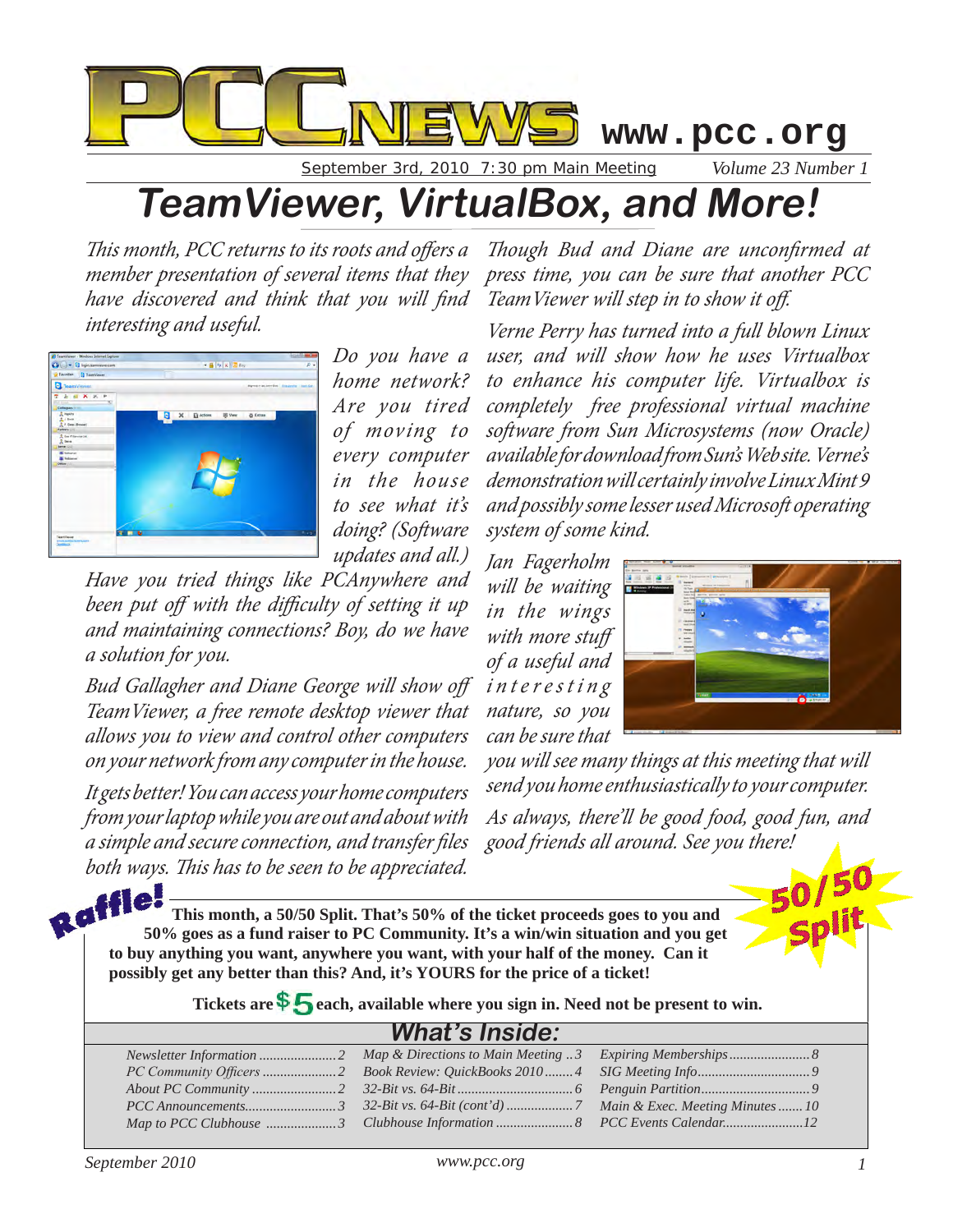

September 3rd, 2010 7:30 pm Main Meeting *Volume 23 Number 1*

## **TeamViewer, VirtualBox, and More!**

*This month, PCC returns to its roots and offers a member presentation of several items that they have discovered and think that you will find TeamViewer will step in to show it off. interesting and useful.*



*Do you have a home network? Are you tired of moving to every computer in the house to see what it's doing? (Software updates and all.)* 

*Have you tried things like PCAnywhere and been put off with the difficulty of setting it up and maintaining connections? Boy, do we have a solution for you.*

*Bud Gallagher and Diane George will show off TeamViewer, a free remote desktop viewer that allows you to view and control other computers on your network from any computer in the house.*

*It gets better! You can access your home computers from your laptop while you are out and about with a simple and secure connection, and transfer files both ways. This has to be seen to be appreciated.* 

*Though Bud and Diane are unconfirmed at press time, you can be sure that another PCC* 

*Verne Perry has turned into a full blown Linux user, and will show how he uses Virtualbox to enhance his computer life. Virtualbox is completely free professional virtual machine software from Sun Microsystems (now Oracle) available for download from Sun's Web site. Verne's demonstration will certainly involve Linux Mint 9 and possibly some lesser used Microsoft operating system of some kind.*

*Jan Fagerholm will be waiting in the wings with more stuff of a useful and i***nteresting** *nature, so you can be sure that* 



*you will see many things at this meeting that will send you home enthusiastically to your computer.*

*As always, there'll be good food, good fun, and good friends all around. See you there!*

> *Expiring Memberships....................... 8 SIG Meeting Info................................ 9 Penguin Partition............................... 9 Main & Exec. Meeting Minutes....... 10 PCC Events Calendar.......................12*

**This month, a 50/50 Split. That's 50% of the ticket proceeds goes to you and**  THE This month, a 50/50 Split. That's 50% of the ticket proceeds goes to you and 50% goes as a fund raiser to PC Community. It's a win/win situation and you get **to buy anything you want, anywhere you want, with your half of the money. Can it possibly get any better than this? And, it's YOURS for the price of a ticket!**

Tickets are  $\frac{1}{2}$  each, available where you sign in. Need not be present to win.

*Map & Directions to Main Meeting .. 3*

#### **What's Inside:**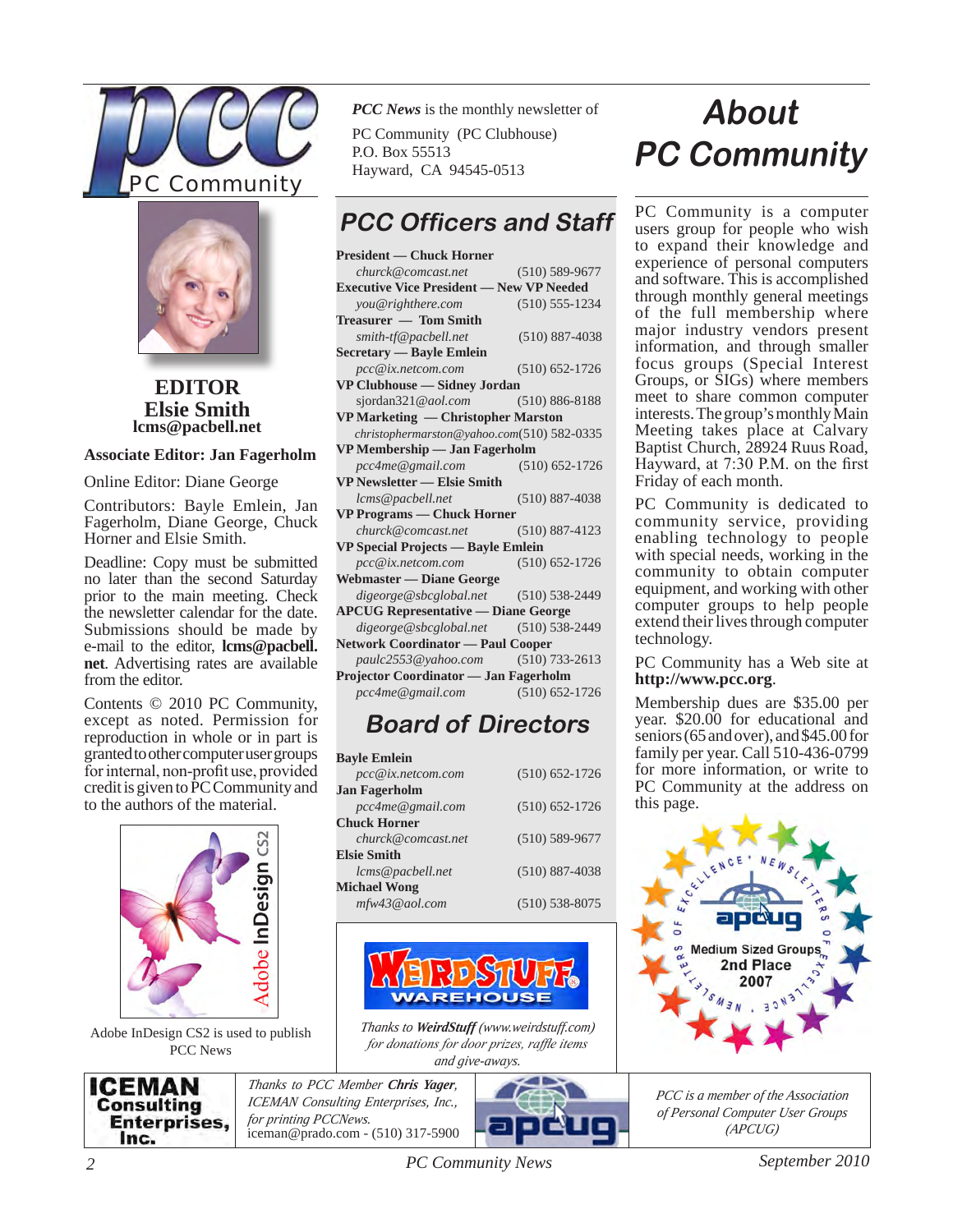



**EDITOR lcms@pacbell.net Elsie Smith**

#### **Associate Editor: Jan Fagerholm**

Online Editor: Diane George

Contributors: Bayle Emlein, Jan Fagerholm, Diane George, Chuck Horner and Elsie Smith.

Deadline: Copy must be submitted no later than the second Saturday prior to the main meeting. Check the newsletter calendar for the date. Submissions should be made by e-mail to the editor, **lcms@pacbell. net**. Advertising rates are available from the editor.

Contents © 2010 PC Community, except as noted. Permission for reproduction in whole or in part is granted to other computer user groups for internal, non-profit use, provided credit is given to PC Community and to the authors of the material.



Adobe InDesign CS2 is used to publish PCC News

*PCC News* is the monthly newsletter of PC Community (PC Clubhouse) P.O. Box 55513 Hayward, CA 94545-0513

### **PCC Officers and Staff**

| <b>President — Chuck Horner</b>                 |                    |  |  |  |  |
|-------------------------------------------------|--------------------|--|--|--|--|
| churck@comcast.net                              | $(510)$ 589-9677   |  |  |  |  |
| <b>Executive Vice President - New VP Needed</b> |                    |  |  |  |  |
| you@righthere.com                               | $(510) 555 - 1234$ |  |  |  |  |
| Treasurer — Tom Smith                           |                    |  |  |  |  |
| smith-tf@pacbell.net                            | $(510) 887 - 4038$ |  |  |  |  |
| Secretary — Bayle Emlein                        |                    |  |  |  |  |
| pcc@ix.netcom.com                               | $(510) 652 - 1726$ |  |  |  |  |
| VP Clubhouse — Sidney Jordan                    |                    |  |  |  |  |
| sjordan321@aol.com (510) 886-8188               |                    |  |  |  |  |
| VP Marketing — Christopher Marston              |                    |  |  |  |  |
| christophermarston@yahoo.com(510) 582-0335      |                    |  |  |  |  |
| VP Membership - Jan Fagerholm                   |                    |  |  |  |  |
| pcc4me@gmail.com                                | $(510) 652 - 1726$ |  |  |  |  |
| <b>VP Newsletter — Elsie Smith</b>              |                    |  |  |  |  |
| lcms@pacbell.net                                | $(510) 887 - 4038$ |  |  |  |  |
| <b>VP Programs — Chuck Horner</b>               |                    |  |  |  |  |
| $churck@connect.net$ (510) 887-4123             |                    |  |  |  |  |
| VP Special Projects — Bayle Emlein              |                    |  |  |  |  |
| pcc@ix.netcom.com                               | $(510)$ 652-1726   |  |  |  |  |
| <b>Webmaster - Diane George</b>                 |                    |  |  |  |  |
| $degree@sbcglobal.net$ (510) 538-2449           |                    |  |  |  |  |
| <b>APCUG Representative - Diane George</b>      |                    |  |  |  |  |
| $digeorge@sbcglobal.net$ (510) 538-2449         |                    |  |  |  |  |
| <b>Network Coordinator — Paul Cooper</b>        |                    |  |  |  |  |
| paulc2553@yahoo.com (510) 733-2613              |                    |  |  |  |  |
| Projector Coordinator — Jan Fagerholm           |                    |  |  |  |  |
| pcc4me@gmail.com                                | $(510) 652 - 1726$ |  |  |  |  |

### **Board of Directors**

| <b>Bavle Emlein</b>  |                    |  |  |  |  |
|----------------------|--------------------|--|--|--|--|
| $pcc@ix.$ netcom.com | $(510) 652 - 1726$ |  |  |  |  |
| Jan Fagerholm        |                    |  |  |  |  |
| pcc4me@gmail.com     | $(510) 652 - 1726$ |  |  |  |  |
| Chuck Horner         |                    |  |  |  |  |
| churck@comcast.net   | $(510) 589 - 9677$ |  |  |  |  |
| <b>Elsie Smith</b>   |                    |  |  |  |  |
| lcms@pacbell.net     | $(510) 887 - 4038$ |  |  |  |  |
| <b>Michael Wong</b>  |                    |  |  |  |  |
| mfw43@aol.com        | $(510) 538 - 8075$ |  |  |  |  |



*Thanks to WeirdStuff (www.weirdstuff.com) for donations for door prizes, raffle items and give-aways.* 

ICEMAN **Consulting Enterprises,** Inc.

*Thanks to PCC Member Chris Yager, ICEMAN Consulting Enterprises, Inc., for printing PCCNews.* iceman@prado.com - (510) 317-5900



## **About PC Community**

PC Community is a computer users group for people who wish to expand their knowledge and experience of personal computers and software. This is accomplished through monthly general meetings of the full membership where major industry vendors present information, and through smaller focus groups (Special Interest Groups, or SIGs) where members meet to share common computer interests. The group's monthly Main Meeting takes place at Calvary Baptist Church, 28924 Ruus Road, Hayward, at 7:30 P.M. on the first Friday of each month.

PC Community is dedicated to community service, providing enabling technology to people with special needs, working in the community to obtain computer equipment, and working with other computer groups to help people extend their lives through computer technology.

PC Community has a Web site at **http://www.pcc.org**.

Membership dues are \$35.00 per year. \$20.00 for educational and seniors (65 and over), and \$45.00 for family per year. Call 510-436-0799 for more information, or write to PC Community at the address on this page.



*PCC is a member of the Association of Personal Computer User Groups (APCUG)*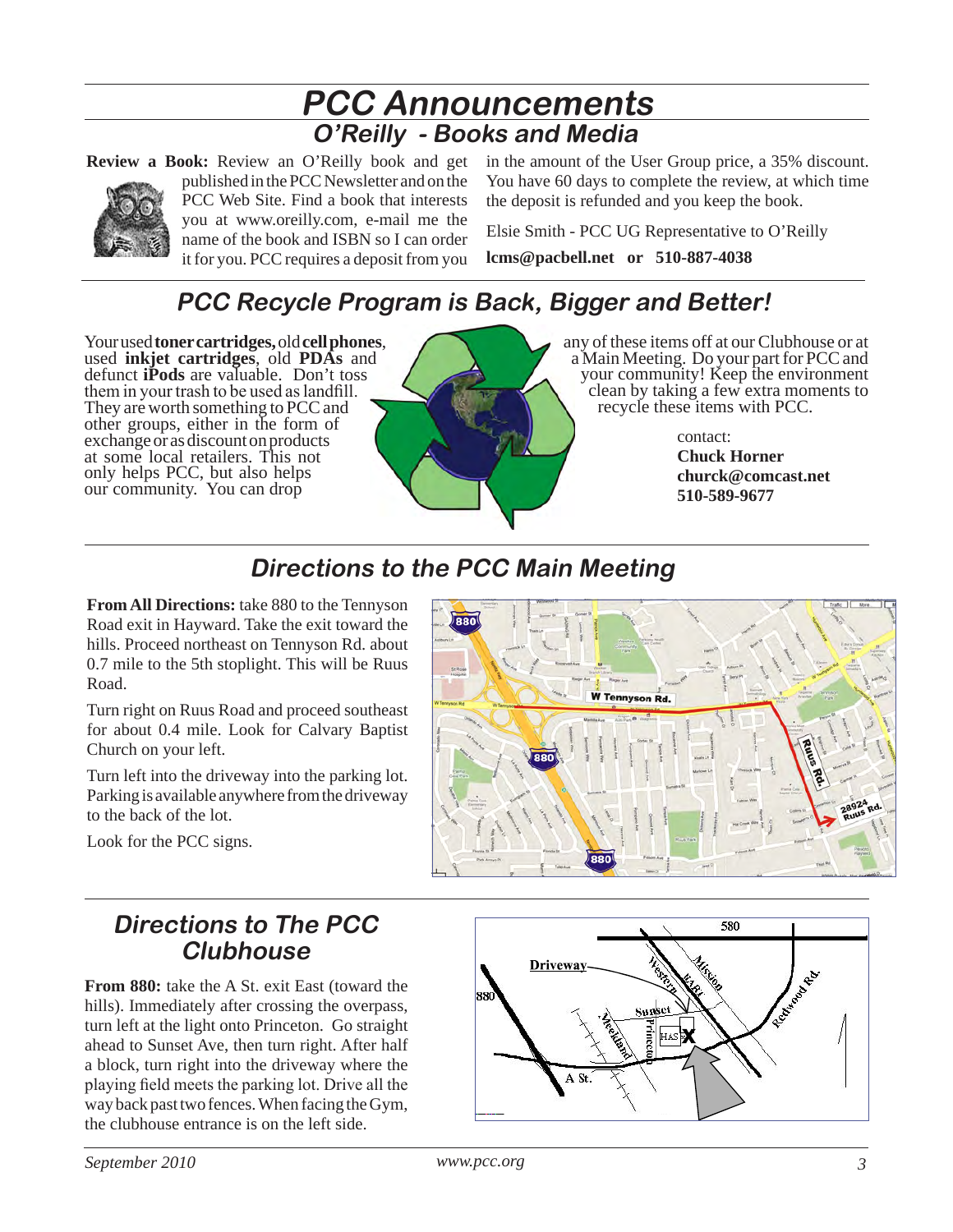### **PCC Announcements O'Reilly - Books and Media**

**Review a Book:** Review an O'Reilly book and get



published in the PCC Newsletter and on the PCC Web Site. Find a book that interests you at www.oreilly.com, e-mail me the name of the book and ISBN so I can order it for you. PCC requires a deposit from you in the amount of the User Group price, a 35% discount. You have 60 days to complete the review, at which time the deposit is refunded and you keep the book.

Elsie Smith - PCC UG Representative to O'Reilly **lcms@pacbell.net or 510-887-4038**

### **PCC Recycle Program is Back, Bigger and Better!**

Your used **toner cartridges,** old **cell phones**, used **inkjet cartridges**, old **PDAs** and defunct **iPods** are valuable. Don't toss them in your trash to be used as landfill. They are worth something to PCC and other groups, either in the form of exchange or as discount on products at some local retailers. This not only helps PCC, but also helps our community. You can drop



any of these items off at our Clubhouse or at a Main Meeting. Do your part for PCC and your community! Keep the environment clean by taking a few extra moments to recycle these items with PCC.

> contact: **Chuck Horner churck@comcast.net 510-589-9677**

### **Directions to the PCC Main Meeting**

**From All Directions:** take 880 to the Tennyson Road exit in Hayward. Take the exit toward the hills. Proceed northeast on Tennyson Rd. about 0.7 mile to the 5th stoplight. This will be Ruus Road.

Turn right on Ruus Road and proceed southeast for about 0.4 mile. Look for Calvary Baptist Church on your left.

Turn left into the driveway into the parking lot. Parking is available anywhere from the driveway to the back of the lot.



Look for the PCC signs.

### **Directions to The PCC Clubhouse**

**From 880:** take the A St. exit East (toward the hills). Immediately after crossing the overpass, turn left at the light onto Princeton. Go straight ahead to Sunset Ave, then turn right. After half a block, turn right into the driveway where the playing field meets the parking lot. Drive all the way back past two fences. When facing the Gym, the clubhouse entrance is on the left side.

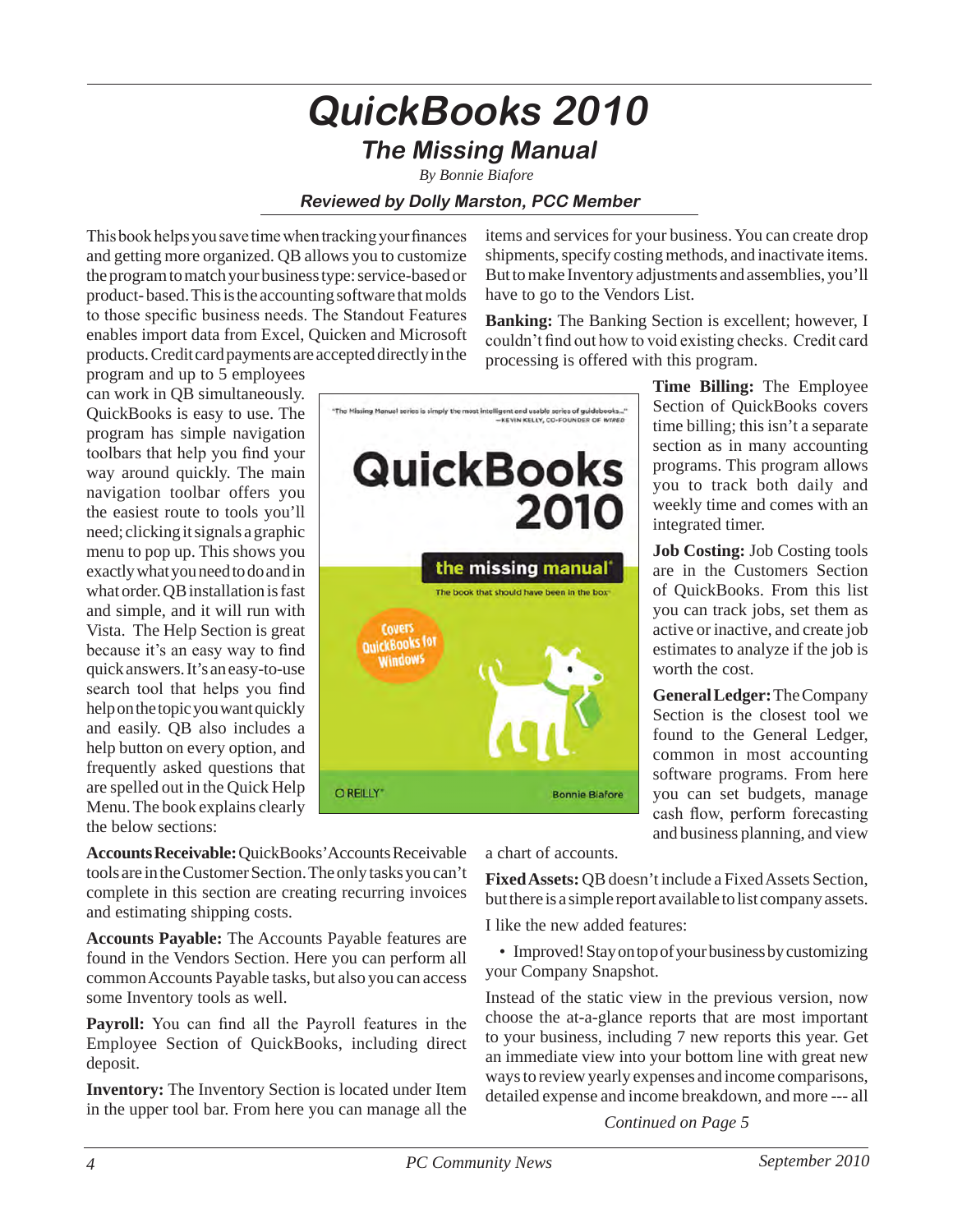### **QuickBooks 2010 The Missing Manual**

*By Bonnie Biafore*

#### **Reviewed by Dolly Marston, PCC Member**

This book helps you save time when tracking your finances and getting more organized. QB allows you to customize the program to match your business type: service-based or product- based. This is the accounting software that molds to those specific business needs. The Standout Features enables import data from Excel, Quicken and Microsoft products. Credit card payments are accepted directly in the

program and up to 5 employees can work in QB simultaneously. QuickBooks is easy to use. The program has simple navigation toolbars that help you find your way around quickly. The main navigation toolbar offers you the easiest route to tools you'll need; clicking it signals a graphic menu to pop up. This shows you exactly what you need to do and in what order. QB installation is fast and simple, and it will run with Vista. The Help Section is great because it's an easy way to find quick answers. It's an easy-to-use search tool that helps you find help on the topic you want quickly and easily. QB also includes a help button on every option, and frequently asked questions that are spelled out in the Quick Help Menu. The book explains clearly the below sections:



items and services for your business. You can create drop shipments, specify costing methods, and inactivate items. But to make Inventory adjustments and assemblies, you'll have to go to the Vendors List.

**Banking:** The Banking Section is excellent; however, I couldn't find out how to void existing checks. Credit card processing is offered with this program.

> **Time Billing:** The Employee Section of QuickBooks covers time billing; this isn't a separate section as in many accounting programs. This program allows you to track both daily and weekly time and comes with an integrated timer.

> **Job Costing:** Job Costing tools are in the Customers Section of QuickBooks. From this list you can track jobs, set them as active or inactive, and create job estimates to analyze if the job is worth the cost.

> **General Ledger:** The Company Section is the closest tool we found to the General Ledger, common in most accounting software programs. From here you can set budgets, manage cash flow, perform forecasting and business planning, and view

**Accounts Receivable:** QuickBooks' Accounts Receivable tools are in the Customer Section. The only tasks you can't complete in this section are creating recurring invoices and estimating shipping costs.

**Accounts Payable:** The Accounts Payable features are found in the Vendors Section. Here you can perform all common Accounts Payable tasks, but also you can access some Inventory tools as well.

**Payroll:** You can find all the Payroll features in the Employee Section of QuickBooks, including direct deposit.

**Inventory:** The Inventory Section is located under Item in the upper tool bar. From here you can manage all the a chart of accounts.

**Fixed Assets:** QB doesn't include a Fixed Assets Section, but there is a simple report available to list company assets.

I like the new added features:

• Improved! Stay on top of your business by customizing your Company Snapshot.

Instead of the static view in the previous version, now choose the at-a-glance reports that are most important to your business, including 7 new reports this year. Get an immediate view into your bottom line with great new ways to review yearly expenses and income comparisons, detailed expense and income breakdown, and more --- all

*Continued on Page 5*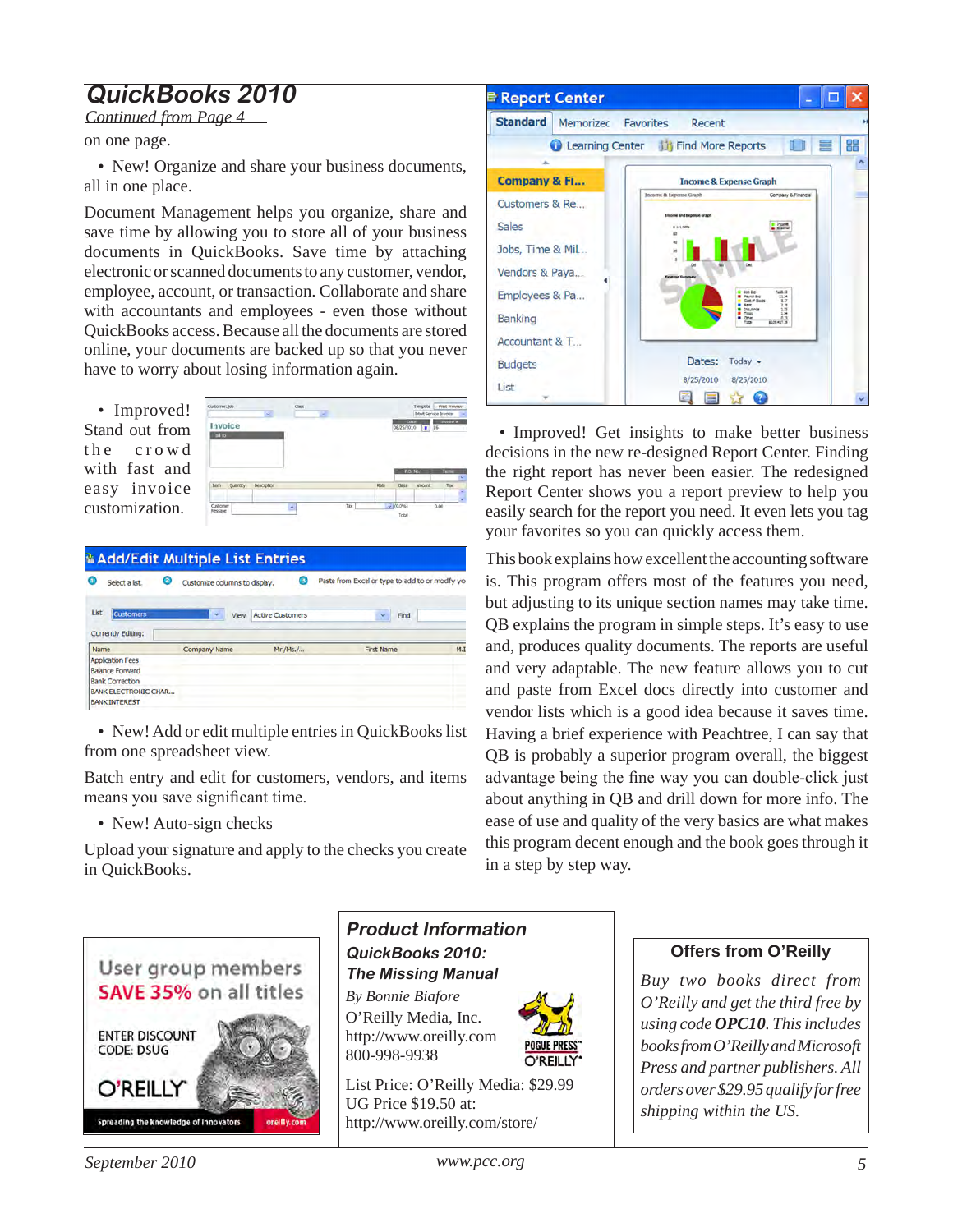### **QuickBooks 2010**

*Continued from Page 4*

on one page.

• New! Organize and share your business documents, all in one place.

Document Management helps you organize, share and save time by allowing you to store all of your business documents in QuickBooks. Save time by attaching electronic or scanned documents to any customer, vendor, employee, account, or transaction. Collaborate and share with accountants and employees - even those without QuickBooks access. Because all the documents are stored online, your documents are backed up so that you never have to worry about losing information again.

• Improved! Stand out from the crowd with fast and easy invoice customization.



| ω<br>Ø<br>Select a lst.                           | Customize columns to display. | Θ                       | Paste from Excel or type to add to or modify yo |     |
|---------------------------------------------------|-------------------------------|-------------------------|-------------------------------------------------|-----|
| List<br><b>Customers</b><br>Currently Editing:    | v<br>View                     | <b>Active Customers</b> | v.<br>Find                                      |     |
|                                                   |                               |                         |                                                 |     |
| Name                                              | Company Name                  | Mr./Ms./                | First Name                                      | M.I |
| <b>Application Fees</b><br><b>Balance Forward</b> |                               |                         |                                                 |     |
| <b>Bank Correction</b>                            |                               |                         |                                                 |     |

• New! Add or edit multiple entries in QuickBooks list from one spreadsheet view.

Batch entry and edit for customers, vendors, and items means you save significant time.

• New! Auto-sign checks

Upload your signature and apply to the checks you create in QuickBooks.



#### **Product Information QuickBooks 2010: The Missing Manual**  *By Bonnie Biafore*

O'Reilly Media, Inc. http://www.oreilly.com 800-998-9938



List Price: O'Reilly Media: \$29.99 UG Price \$19.50 at: http://www.oreilly.com/store/



• Improved! Get insights to make better business decisions in the new re-designed Report Center. Finding the right report has never been easier. The redesigned Report Center shows you a report preview to help you easily search for the report you need. It even lets you tag your favorites so you can quickly access them.

This book explains how excellent the accounting software is. This program offers most of the features you need, but adjusting to its unique section names may take time. QB explains the program in simple steps. It's easy to use and, produces quality documents. The reports are useful and very adaptable. The new feature allows you to cut and paste from Excel docs directly into customer and vendor lists which is a good idea because it saves time. Having a brief experience with Peachtree, I can say that QB is probably a superior program overall, the biggest advantage being the fine way you can double-click just about anything in QB and drill down for more info. The ease of use and quality of the very basics are what makes this program decent enough and the book goes through it in a step by step way.

#### **Offers from O'Reilly**

*Buy two books direct from O'Reilly and get the third free by using code OPC10. This includes books from O'Reilly and Microsoft Press and partner publishers. All orders over \$29.95 qualify for free shipping within the US.*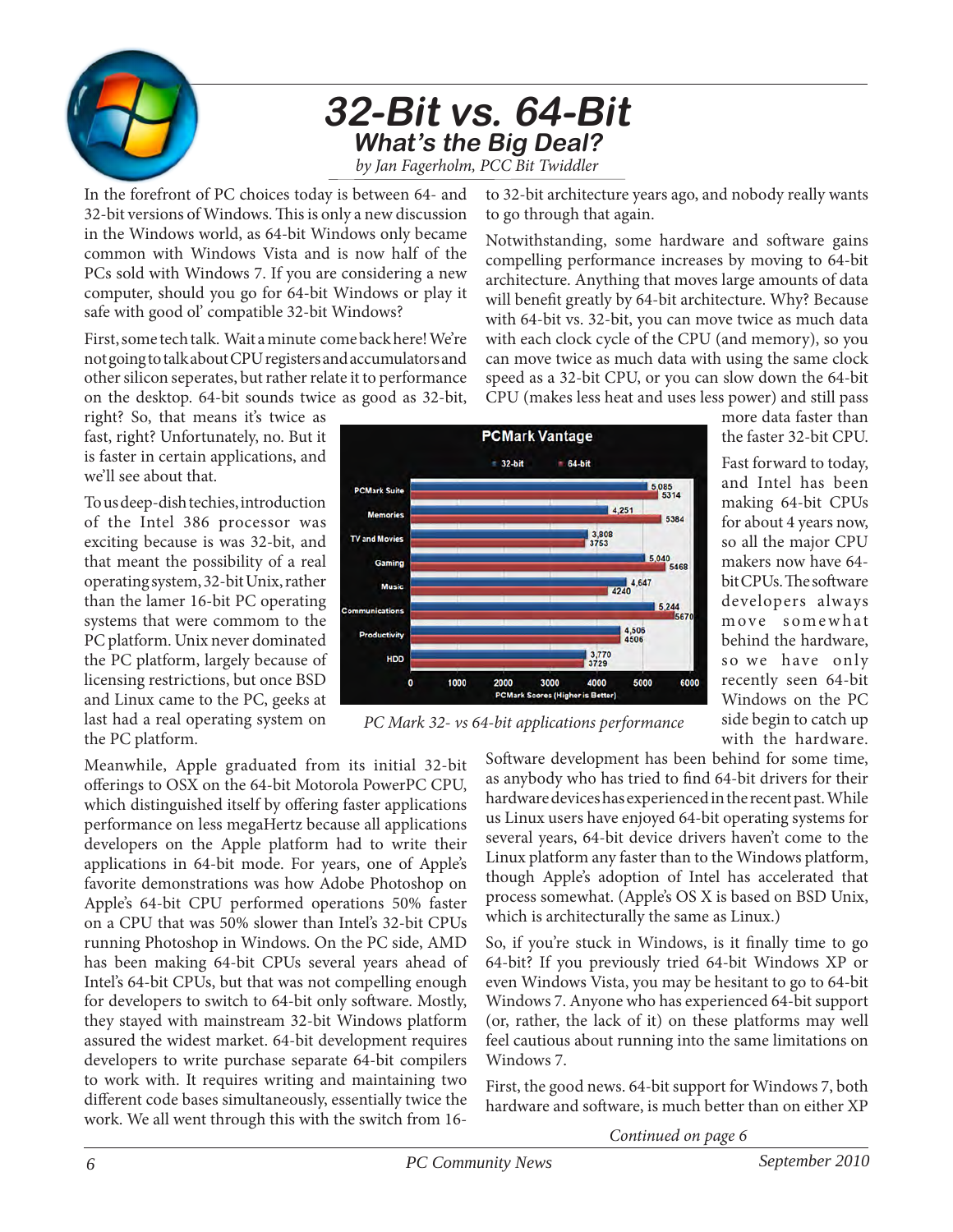

### **32-Bit vs. 64-Bit What's the Big Deal?** *by Jan Fagerholm, PCC Bit Twiddler*

In the forefront of PC choices today is between 64- and 32-bit versions of Windows. This is only a new discussion in the Windows world, as 64-bit Windows only became common with Windows Vista and is now half of the PCs sold with Windows 7. If you are considering a new computer, should you go for 64-bit Windows or play it safe with good ol' compatible 32-bit Windows?

First, some tech talk. Wait a minute come back here! We're not going to talk about CPU registers and accumulators and other silicon seperates, but rather relate it to performance on the desktop. 64-bit sounds twice as good as 32-bit,

right? So, that means it's twice as fast, right? Unfortunately, no. But it is faster in certain applications, and we'll see about that.

To us deep-dish techies, introduction of the Intel 386 processor was exciting because is was 32-bit, and that meant the possibility of a real operating system, 32-bit Unix, rather than the lamer 16-bit PC operating systems that were commom to the PC platform. Unix never dominated the PC platform, largely because of licensing restrictions, but once BSD and Linux came to the PC, geeks at last had a real operating system on the PC platform.

Meanwhile, Apple graduated from its initial 32-bit offerings to OSX on the 64-bit Motorola PowerPC CPU, which distinguished itself by offering faster applications performance on less megaHertz because all applications developers on the Apple platform had to write their applications in 64-bit mode. For years, one of Apple's favorite demonstrations was how Adobe Photoshop on Apple's 64-bit CPU performed operations 50% faster on a CPU that was 50% slower than Intel's 32-bit CPUs running Photoshop in Windows. On the PC side, AMD has been making 64-bit CPUs several years ahead of Intel's 64-bit CPUs, but that was not compelling enough for developers to switch to 64-bit only software. Mostly, they stayed with mainstream 32-bit Windows platform assured the widest market. 64-bit development requires developers to write purchase separate 64-bit compilers to work with. It requires writing and maintaining two different code bases simultaneously, essentially twice the work. We all went through this with the switch from 16to 32-bit architecture years ago, and nobody really wants to go through that again.

Notwithstanding, some hardware and software gains compelling performance increases by moving to 64-bit architecture. Anything that moves large amounts of data will benefit greatly by 64-bit architecture. Why? Because with 64-bit vs. 32-bit, you can move twice as much data with each clock cycle of the CPU (and memory), so you can move twice as much data with using the same clock speed as a 32-bit CPU, or you can slow down the 64-bit CPU (makes less heat and uses less power) and still pass



more data faster than the faster 32-bit CPU.

Fast forward to today, and Intel has been making 64-bit CPUs for about 4 years now, so all the major CPU makers now have 64 bit CPUs. The software developers always move somewhat behind the hardware, so we have only recently seen 64-bit Windows on the PC side begin to catch up with the hardware.

*PC Mark 32- vs 64-bit applications performance*

Software development has been behind for some time, as anybody who has tried to find 64-bit drivers for their hardware devices has experienced in the recent past. While us Linux users have enjoyed 64-bit operating systems for several years, 64-bit device drivers haven't come to the Linux platform any faster than to the Windows platform, though Apple's adoption of Intel has accelerated that process somewhat. (Apple's OS X is based on BSD Unix, which is architecturally the same as Linux.)

So, if you're stuck in Windows, is it finally time to go 64-bit? If you previously tried 64-bit Windows XP or even Windows Vista, you may be hesitant to go to 64-bit Windows 7. Anyone who has experienced 64-bit support (or, rather, the lack of it) on these platforms may well feel cautious about running into the same limitations on Windows 7.

First, the good news. 64-bit support for Windows 7, both hardware and software, is much better than on either XP

*Continued on page 6*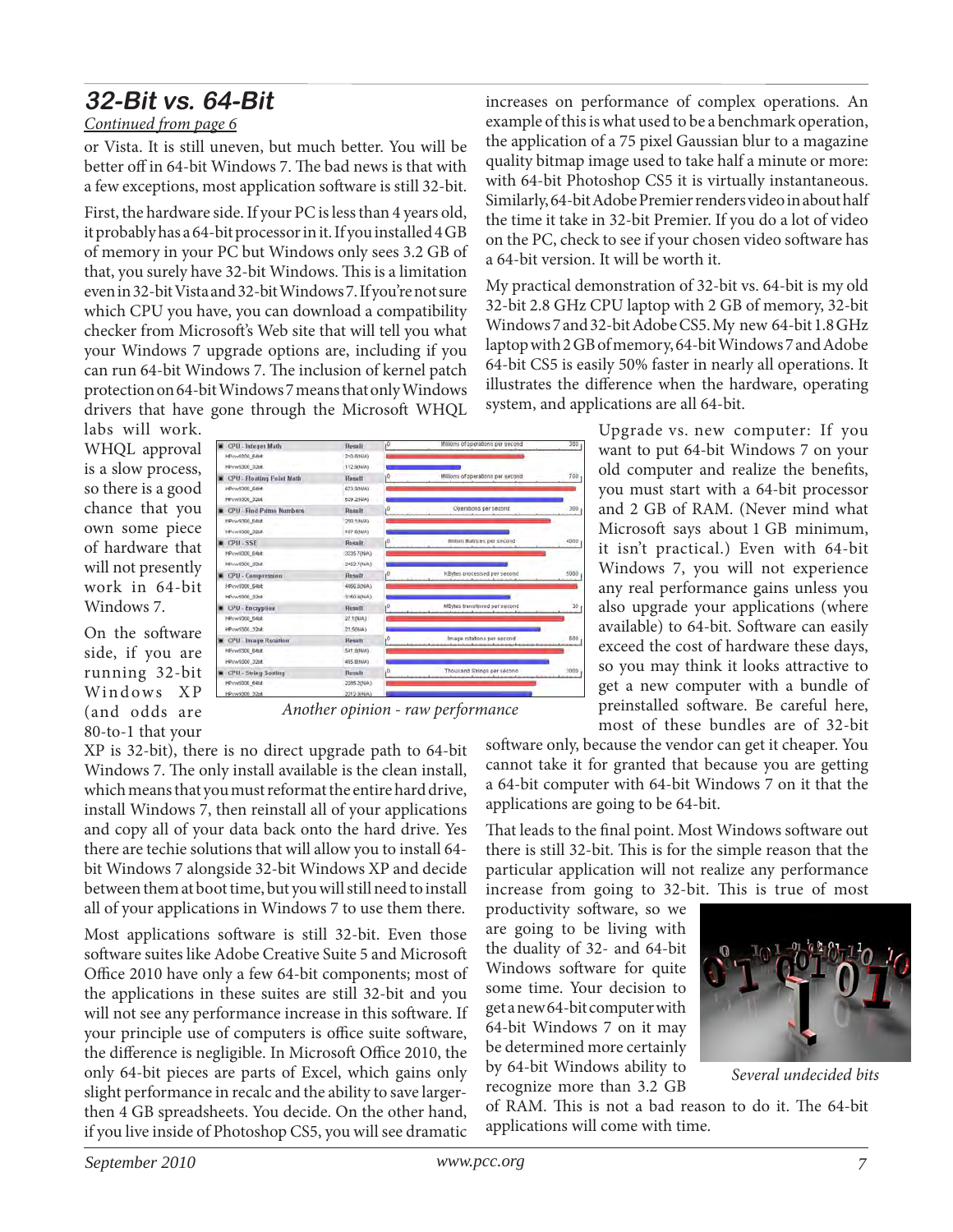### **32-Bit vs. 64-Bit**

#### *Continued from page 6*

or Vista. It is still uneven, but much better. You will be better off in 64-bit Windows 7. The bad news is that with a few exceptions, most application software is still 32-bit.

First, the hardware side. If your PC is less than 4 years old, it probably has a 64-bit processor in it. If you installed 4 GB of memory in your PC but Windows only sees 3.2 GB of that, you surely have 32-bit Windows. This is a limitation even in 32-bit Vista and 32-bit Windows 7. If you're not sure which CPU you have, you can download a compatibility checker from Microsoft's Web site that will tell you what your Windows 7 upgrade options are, including if you can run 64-bit Windows 7. The inclusion of kernel patch protection on 64-bit Windows 7 means that only Windows drivers that have gone through the Microsoft WHQL

labs will work. WHQL approval is a slow process, so there is a good chance that you own some piece of hardware that will not presently work in 64-bit Windows 7.

On the software side, if you are running 32-bit Windows XP (and odds are 80-to-1 that your



*Another opinion - raw performance*

XP is 32-bit), there is no direct upgrade path to 64-bit Windows 7. The only install available is the clean install, which means that you must reformat the entire hard drive, install Windows 7, then reinstall all of your applications and copy all of your data back onto the hard drive. Yes there are techie solutions that will allow you to install 64 bit Windows 7 alongside 32-bit Windows XP and decide between them at boot time, but you will still need to install all of your applications in Windows 7 to use them there.

Most applications software is still 32-bit. Even those software suites like Adobe Creative Suite 5 and Microsoft Office 2010 have only a few 64-bit components; most of the applications in these suites are still 32-bit and you will not see any performance increase in this software. If your principle use of computers is office suite software, the difference is negligible. In Microsoft Office 2010, the only 64-bit pieces are parts of Excel, which gains only slight performance in recalc and the ability to save largerthen 4 GB spreadsheets. You decide. On the other hand, if you live inside of Photoshop CS5, you will see dramatic

increases on performance of complex operations. An example of this is what used to be a benchmark operation, the application of a 75 pixel Gaussian blur to a magazine quality bitmap image used to take half a minute or more: with 64-bit Photoshop CS5 it is virtually instantaneous. Similarly, 64-bit Adobe Premier renders video in about half the time it take in 32-bit Premier. If you do a lot of video on the PC, check to see if your chosen video software has a 64-bit version. It will be worth it.

My practical demonstration of 32-bit vs. 64-bit is my old 32-bit 2.8 GHz CPU laptop with 2 GB of memory, 32-bit Windows 7 and 32-bit Adobe CS5. My new 64-bit 1.8 GHz laptop with 2 GB of memory, 64-bit Windows 7 and Adobe 64-bit CS5 is easily 50% faster in nearly all operations. It illustrates the difference when the hardware, operating system, and applications are all 64-bit.

> Upgrade vs. new computer: If you want to put 64-bit Windows 7 on your old computer and realize the benefits, you must start with a 64-bit processor and 2 GB of RAM. (Never mind what Microsoft says about 1 GB minimum, it isn't practical.) Even with 64-bit Windows 7, you will not experience any real performance gains unless you also upgrade your applications (where available) to 64-bit. Software can easily exceed the cost of hardware these days, so you may think it looks attractive to get a new computer with a bundle of preinstalled software. Be careful here, most of these bundles are of 32-bit

software only, because the vendor can get it cheaper. You cannot take it for granted that because you are getting a 64-bit computer with 64-bit Windows 7 on it that the applications are going to be 64-bit.

That leads to the final point. Most Windows software out there is still 32-bit. This is for the simple reason that the particular application will not realize any performance increase from going to 32-bit. This is true of most

productivity software, so we are going to be living with the duality of 32- and 64-bit Windows software for quite some time. Your decision to get a new 64-bit computer with 64-bit Windows 7 on it may be determined more certainly by 64-bit Windows ability to recognize more than 3.2 GB



*Several undecided bits*

of RAM. This is not a bad reason to do it. The 64-bit applications will come with time.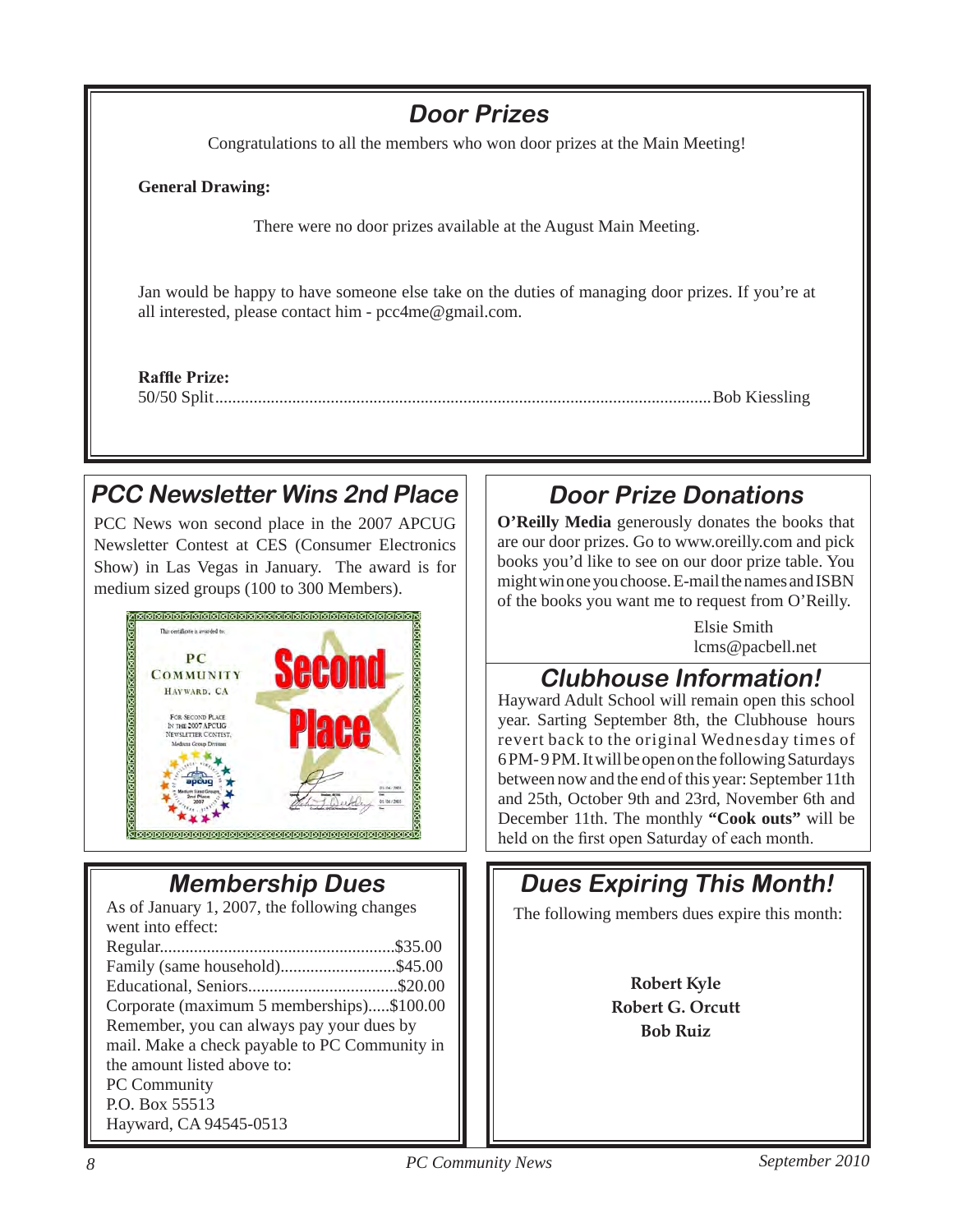

### **PCC Newsletter Wins 2nd Place**

PCC News won second place in the 2007 APCUG Newsletter Contest at CES (Consumer Electronics Show) in Las Vegas in January. The award is for medium sized groups (100 to 300 Members).



### **Membership Dues**

As of January 1, 2007, the following changes went into effect:

| Corporate (maximum 5 memberships)\$100.00     |
|-----------------------------------------------|
| Remember, you can always pay your dues by     |
| mail. Make a check payable to PC Community in |
| the amount listed above to:                   |
| PC Community                                  |
| P.O. Box 55513                                |
| Hayward, CA 94545-0513                        |

### **Door Prize Donations**

**O'Reilly Media** generously donates the books that are our door prizes. Go to www.oreilly.com and pick books you'd like to see on our door prize table. You might win one you choose. E-mail the names and ISBN of the books you want me to request from O'Reilly.

> Elsie Smith lcms@pacbell.net

### **Clubhouse Information!**

Hayward Adult School will remain open this school year. Sarting September 8th, the Clubhouse hours revert back to the original Wednesday times of 6 PM- 9 PM. It will be open on the following Saturdays between now and the end of this year: September 11th and 25th, October 9th and 23rd, November 6th and December 11th. The monthly **"Cook outs"** will be held on the first open Saturday of each month.

## The following members dues expire this month: **Dues Expiring This Month! Robert Kyle Robert G. Orcutt**

**Bob Ruiz**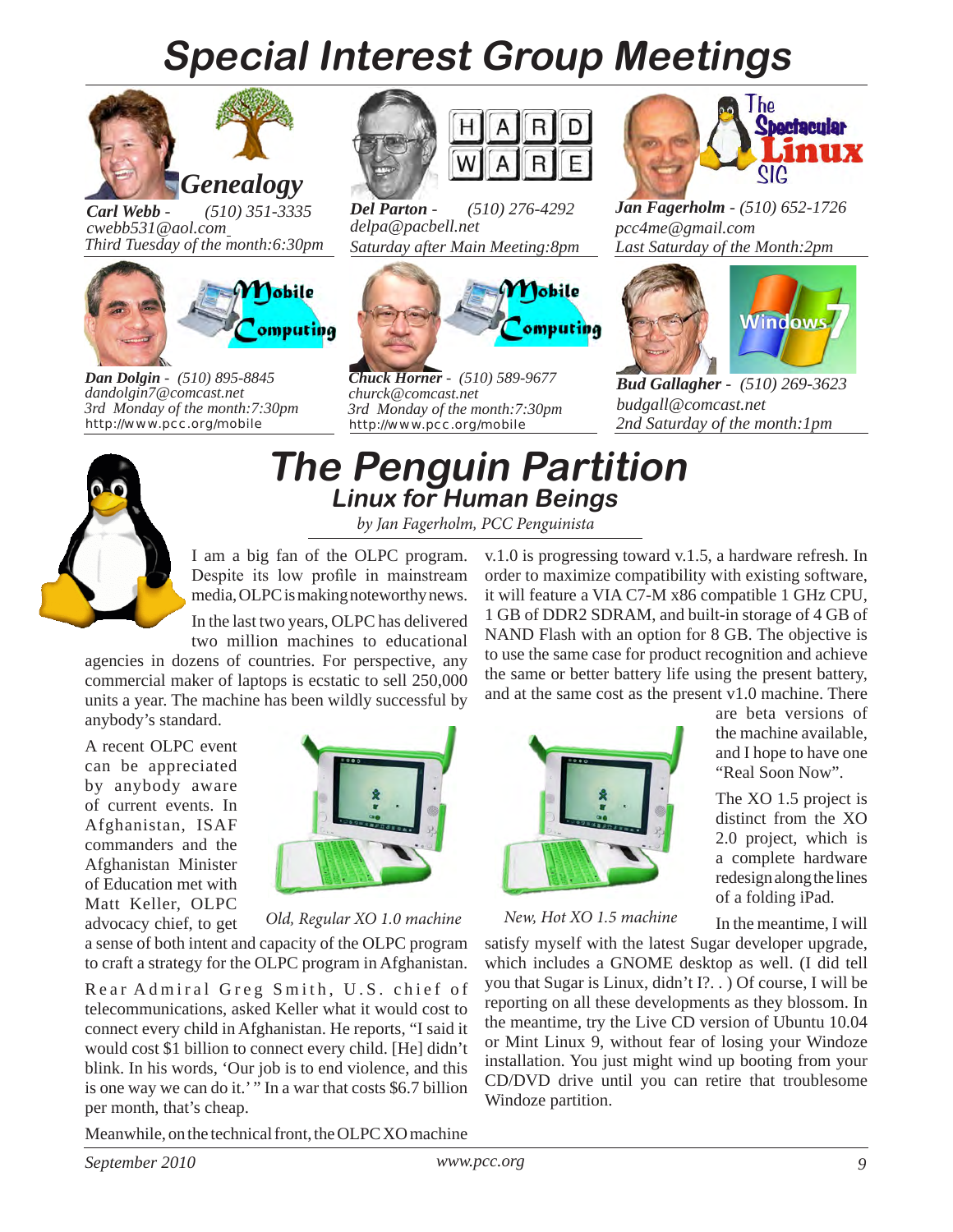## **Special Interest Group Meetings**



*Carl Webb - (510) 351-3335 cwebb531@aol.com Third Tuesday of the month:6:30pm*



*Dan Dolgin - (510) 895-8845 http://www.pcc.org/mobile 3rd Monday of the month:7:30pm dandolgin7@comcast.net*



*Del Parton - (510) 276-4292 delpa@pacbell.net Saturday after Main Meeting:8pm*



*Chuck Horner - (510) 589-9677 http://www.pcc.org/mobile 3rd Monday of the month:7:30pm churck@comcast.net*



*Jan Fagerholm - (510) 652-1726 pcc4me@gmail.com Last Saturday of the Month:2pm*



*Bud Gallagher - (510) 269-3623 budgall@comcast.net 2nd Saturday of the month:1pm*



### **The Penguin Partition Linux for Human Beings**

*by Jan Fagerholm, PCC Penguinista*

I am a big fan of the OLPC program. Despite its low profile in mainstream media, OLPC is making noteworthy news.

In the last two years, OLPC has delivered two million machines to educational

agencies in dozens of countries. For perspective, any commercial maker of laptops is ecstatic to sell 250,000 units a year. The machine has been wildly successful by anybody's standard.

A recent OLPC event can be appreciated by anybody aware of current events. In Afghanistan, ISAF commanders and the Afghanistan Minister of Education met with Matt Keller, OLPC advocacy chief, to get



*Old, Regular XO 1.0 machine New, Hot XO 1.5 machine*

a sense of both intent and capacity of the OLPC program to craft a strategy for the OLPC program in Afghanistan.

Rear Admiral Greg Smith, U.S. chief of telecommunications, asked Keller what it would cost to connect every child in Afghanistan. He reports, "I said it would cost \$1 billion to connect every child. [He] didn't blink. In his words, 'Our job is to end violence, and this is one way we can do it.' " In a war that costs \$6.7 billion per month, that's cheap.

Meanwhile, on the technical front, the OLPC XO machine

v.1.0 is progressing toward v.1.5, a hardware refresh. In order to maximize compatibility with existing software, it will feature a VIA C7-M x86 compatible 1 GHz CPU, 1 GB of DDR2 SDRAM, and built-in storage of 4 GB of NAND Flash with an option for 8 GB. The objective is to use the same case for product recognition and achieve the same or better battery life using the present battery, and at the same cost as the present v1.0 machine. There



are beta versions of the machine available, and I hope to have one "Real Soon Now".

The XO 1.5 project is distinct from the XO 2.0 project, which is a complete hardware redesign along the lines of a folding iPad.

In the meantime, I will

satisfy myself with the latest Sugar developer upgrade, which includes a GNOME desktop as well. (I did tell you that Sugar is Linux, didn't I?. . ) Of course, I will be reporting on all these developments as they blossom. In the meantime, try the Live CD version of Ubuntu 10.04 or Mint Linux 9, without fear of losing your Windoze installation. You just might wind up booting from your CD/DVD drive until you can retire that troublesome Windoze partition.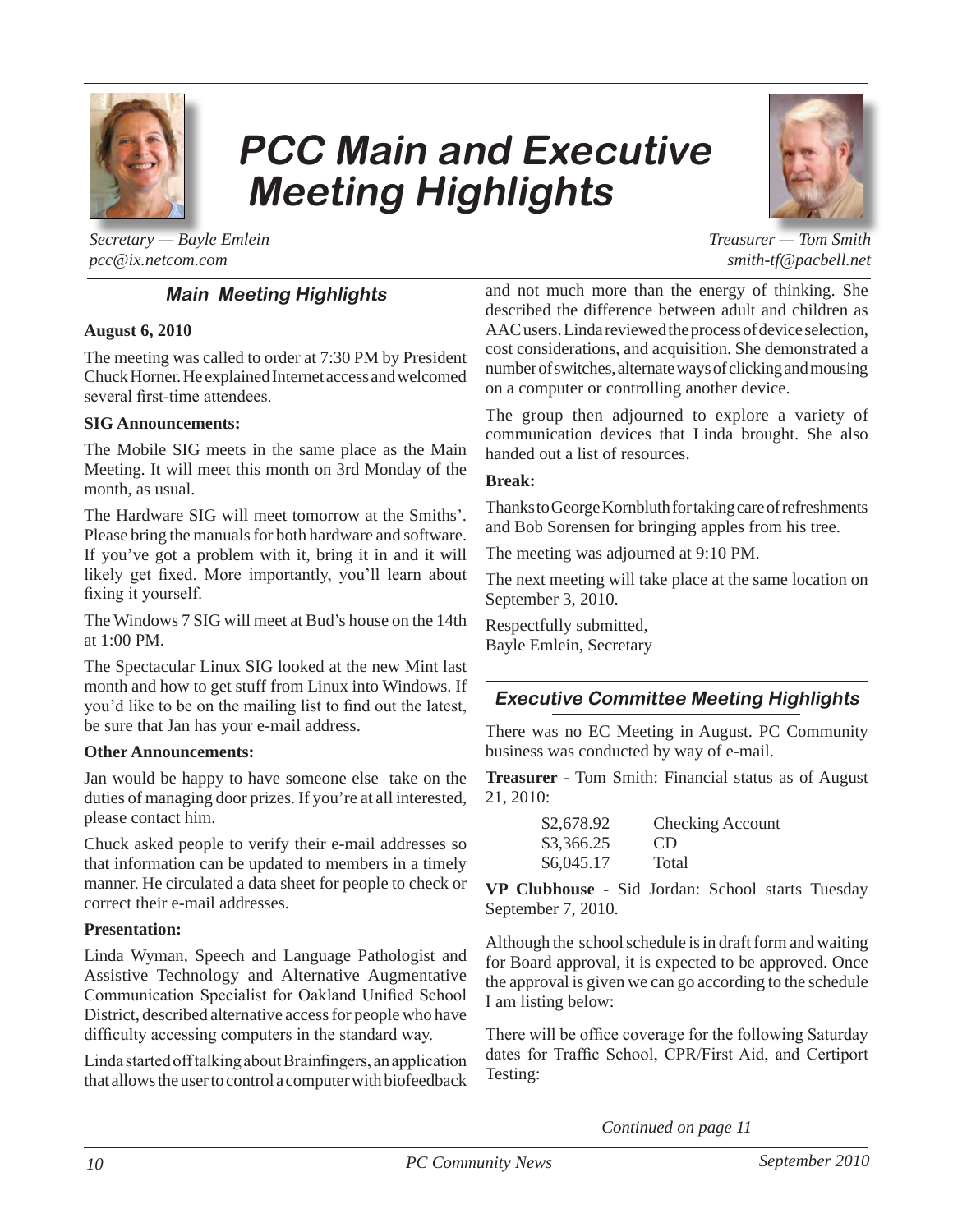

## **PCC Main and Executive Meeting Highlights**



*Treasurer — Tom Smith smith-tf@pacbell.net*

*Secretary — Bayle Emlein pcc@ix.netcom.com*

#### **Main Meeting Highlights**

#### **August 6, 2010**

The meeting was called to order at 7:30 PM by President Chuck Horner. He explained Internet access and welcomed several first-time attendees.

#### **SIG Announcements:**

The Mobile SIG meets in the same place as the Main Meeting. It will meet this month on 3rd Monday of the month, as usual.

The Hardware SIG will meet tomorrow at the Smiths'. Please bring the manuals for both hardware and software. If you've got a problem with it, bring it in and it will likely get fixed. More importantly, you'll learn about fixing it yourself.

The Windows 7 SIG will meet at Bud's house on the 14th at 1:00 PM.

The Spectacular Linux SIG looked at the new Mint last month and how to get stuff from Linux into Windows. If you'd like to be on the mailing list to find out the latest, be sure that Jan has your e-mail address.

#### **Other Announcements:**

Jan would be happy to have someone else take on the duties of managing door prizes. If you're at all interested, please contact him.

Chuck asked people to verify their e-mail addresses so that information can be updated to members in a timely manner. He circulated a data sheet for people to check or correct their e-mail addresses.

#### **Presentation:**

Linda Wyman, Speech and Language Pathologist and Assistive Technology and Alternative Augmentative Communication Specialist for Oakland Unified School District, described alternative access for people who have difficulty accessing computers in the standard way.

Linda started off talking about Brainfingers, an application that allows the user to control a computer with biofeedback and not much more than the energy of thinking. She described the difference between adult and children as AAC users. Linda reviewed the process of device selection, cost considerations, and acquisition. She demonstrated a number of switches, alternate ways of clicking and mousing on a computer or controlling another device.

The group then adjourned to explore a variety of communication devices that Linda brought. She also handed out a list of resources.

#### **Break:**

Thanks to George Kornbluth for taking care of refreshments and Bob Sorensen for bringing apples from his tree.

The meeting was adjourned at 9:10 PM.

The next meeting will take place at the same location on September 3, 2010.

Respectfully submitted, Bayle Emlein, Secretary

#### **Executive Committee Meeting Highlights**

There was no EC Meeting in August. PC Community business was conducted by way of e-mail.

**Treasurer** - Tom Smith: Financial status as of August 21, 2010:

| \$2,678.92 | Checking Account |
|------------|------------------|
| \$3,366.25 | CD.              |
| \$6,045.17 | Total            |

**VP Clubhouse** - Sid Jordan: School starts Tuesday September 7, 2010.

Although the school schedule is in draft form and waiting for Board approval, it is expected to be approved. Once the approval is given we can go according to the schedule I am listing below:

There will be office coverage for the following Saturday dates for Traffic School, CPR/First Aid, and Certiport Testing:

*Continued on page 11*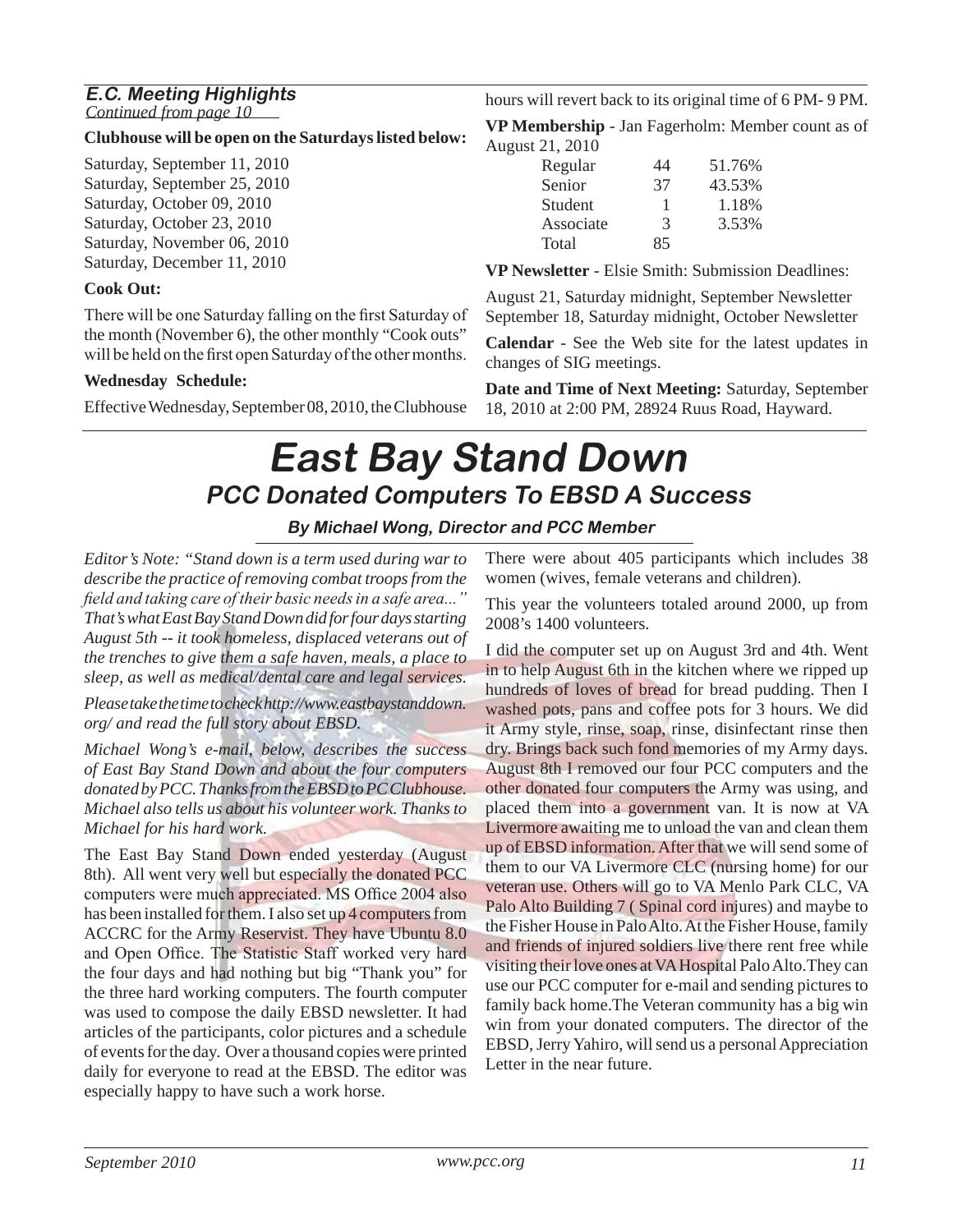### **E.C. Meeting Highlights**

*Continued from page 10*

#### **Clubhouse will be open on the Saturdays listed below:**

Saturday, September 11, 2010 Saturday, September 25, 2010 Saturday, October 09, 2010 Saturday, October 23, 2010 Saturday, November 06, 2010 Saturday, December 11, 2010

#### **Cook Out:**

There will be one Saturday falling on the first Saturday of the month (November 6), the other monthly "Cook outs" will be held on the first open Saturday of the other months.

#### **Wednesday Schedule:**

Effective Wednesday, September 08, 2010, the Clubhouse

hours will revert back to its original time of 6 PM- 9 PM.

**VP Membership** - Jan Fagerholm: Member count as of August 21, 2010

| Regular   | 44 | 51.76% |
|-----------|----|--------|
| Senior    | 37 | 43.53% |
| Student   | ı  | 1.18%  |
| Associate | 3  | 3.53%  |
| Total     | 85 |        |
|           |    |        |

**VP Newsletter** - Elsie Smith: Submission Deadlines:

August 21, Saturday midnight, September Newsletter September 18, Saturday midnight, October Newsletter

**Calendar** - See the Web site for the latest updates in changes of SIG meetings.

**Date and Time of Next Meeting:** Saturday, September 18, 2010 at 2:00 PM, 28924 Ruus Road, Hayward.

### **East Bay Stand Down PCC Donated Computers To EBSD A Success**

#### **By Michael Wong, Director and PCC Member**

*Editor's Note: "Stand down is a term used during war to describe the practice of removing combat troops from the field and taking care of their basic needs in a safe area..." That's what East Bay Stand Down did for four days starting August 5th -- it took homeless, displaced veterans out of the trenches to give them a safe haven, meals, a place to sleep, as well as medical/dental care and legal services.* 

*Please take the time to check http://www.eastbaystanddown. org/ and read the full story about EBSD.*

*Michael Wong's e-mail, below, describes the success of East Bay Stand Down and about the four computers donated by PCC. Thanks from the EBSD to PC Clubhouse. Michael also tells us about his volunteer work. Thanks to Michael for his hard work.*

The East Bay Stand Down ended yesterday (August 8th). All went very well but especially the donated PCC computers were much appreciated. MS Office 2004 also has been installed for them. I also set up 4 computers from ACCRC for the Army Reservist. They have Ubuntu 8.0 and Open Office. The Statistic Staff worked very hard the four days and had nothing but big "Thank you" for the three hard working computers. The fourth computer was used to compose the daily EBSD newsletter. It had articles of the participants, color pictures and a schedule of events for the day. Over a thousand copies were printed daily for everyone to read at the EBSD. The editor was especially happy to have such a work horse.

There were about 405 participants which includes 38 women (wives, female veterans and children).

This year the volunteers totaled around 2000, up from 2008's 1400 volunteers.

I did the computer set up on August 3rd and 4th. Went in to help August 6th in the kitchen where we ripped up hundreds of loves of bread for bread pudding. Then I washed pots, pans and coffee pots for 3 hours. We did it Army style, rinse, soap, rinse, disinfectant rinse then dry. Brings back such fond memories of my Army days. August 8th I removed our four PCC computers and the other donated four computers the Army was using, and placed them into a government van. It is now at VA Livermore awaiting me to unload the van and clean them up of EBSD information. After that we will send some of them to our VA Livermore CLC (nursing home) for our veteran use. Others will go to VA Menlo Park CLC, VA Palo Alto Building 7 ( Spinal cord injures) and maybe to the Fisher House in Palo Alto. At the Fisher House, family and friends of injured soldiers live there rent free while visiting their love ones at VA Hospital Palo Alto.They can use our PCC computer for e-mail and sending pictures to family back home.The Veteran community has a big win win from your donated computers. The director of the EBSD, Jerry Yahiro, will send us a personal Appreciation Letter in the near future.